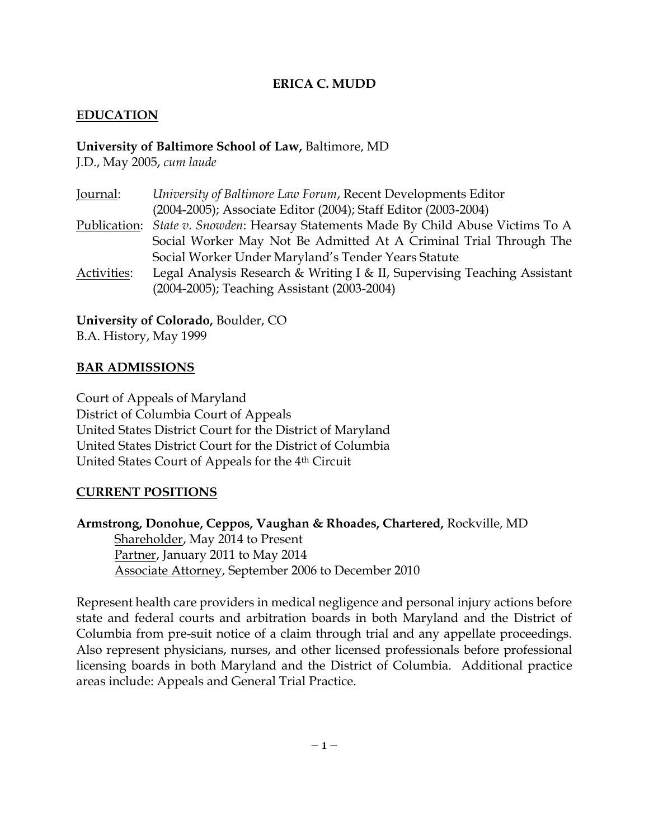### **ERICA C. MUDD**

#### **EDUCATION**

#### **University of Baltimore School of Law,** Baltimore, MD

J.D., May 2005, *cum laude*

| University of Baltimore Law Forum, Recent Developments Editor                                                           |
|-------------------------------------------------------------------------------------------------------------------------|
| (2004-2005); Associate Editor (2004); Staff Editor (2003-2004)                                                          |
| Publication: State v. Snowden: Hearsay Statements Made By Child Abuse Victims To A                                      |
| Social Worker May Not Be Admitted At A Criminal Trial Through The                                                       |
| Social Worker Under Maryland's Tender Years Statute                                                                     |
| Legal Analysis Research & Writing I & II, Supervising Teaching Assistant<br>(2004-2005); Teaching Assistant (2003-2004) |
|                                                                                                                         |

**University of Colorado,** Boulder, CO B.A. History, May 1999

### **BAR ADMISSIONS**

Court of Appeals of Maryland District of Columbia Court of Appeals United States District Court for the District of Maryland United States District Court for the District of Columbia United States Court of Appeals for the 4th Circuit

#### **CURRENT POSITIONS**

**Armstrong, Donohue, Ceppos, Vaughan & Rhoades, Chartered,** Rockville, MD Shareholder, May 2014 to Present Partner, January 2011 to May 2014

Associate Attorney, September 2006 to December 2010

Represent health care providers in medical negligence and personal injury actions before state and federal courts and arbitration boards in both Maryland and the District of Columbia from pre-suit notice of a claim through trial and any appellate proceedings. Also represent physicians, nurses, and other licensed professionals before professional licensing boards in both Maryland and the District of Columbia. Additional practice areas include: Appeals and General Trial Practice.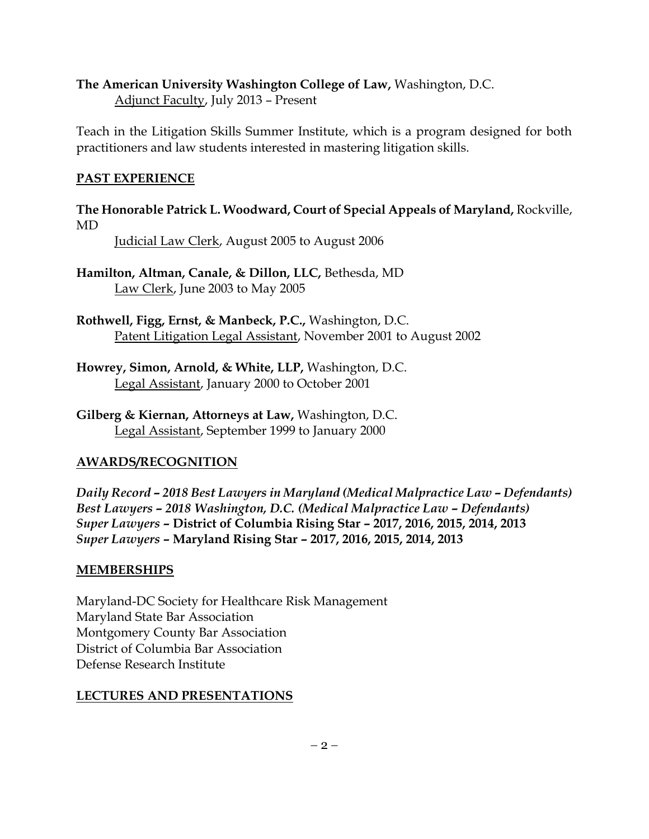### **The American University Washington College of Law,** Washington, D.C.

Adjunct Faculty, July 2013 – Present

Teach in the Litigation Skills Summer Institute, which is a program designed for both practitioners and law students interested in mastering litigation skills.

## **PAST EXPERIENCE**

**The Honorable Patrick L. Woodward, Court of Special Appeals of Maryland,** Rockville, MD

Judicial Law Clerk, August 2005 to August 2006

**Hamilton, Altman, Canale, & Dillon, LLC,** Bethesda, MD Law Clerk, June 2003 to May 2005

**Rothwell, Figg, Ernst, & Manbeck, P.C.,** Washington, D.C. Patent Litigation Legal Assistant, November 2001 to August 2002

- **Howrey, Simon, Arnold, & White, LLP,** Washington, D.C. Legal Assistant, January 2000 to October 2001
- **Gilberg & Kiernan, Attorneys at Law,** Washington, D.C. Legal Assistant, September 1999 to January 2000

# **AWARDS/RECOGNITION**

*Daily Record – 2018 Best Lawyers in Maryland (Medical Malpractice Law – Defendants) Best Lawyers – 2018 Washington, D.C. (Medical Malpractice Law – Defendants) Super Lawyers* **– District of Columbia Rising Star – 2017, 2016, 2015, 2014, 2013** *Super Lawyers* **– Maryland Rising Star – 2017, 2016, 2015, 2014, 2013**

#### **MEMBERSHIPS**

Maryland-DC Society for Healthcare Risk Management Maryland State Bar Association Montgomery County Bar Association District of Columbia Bar Association Defense Research Institute

# **LECTURES AND PRESENTATIONS**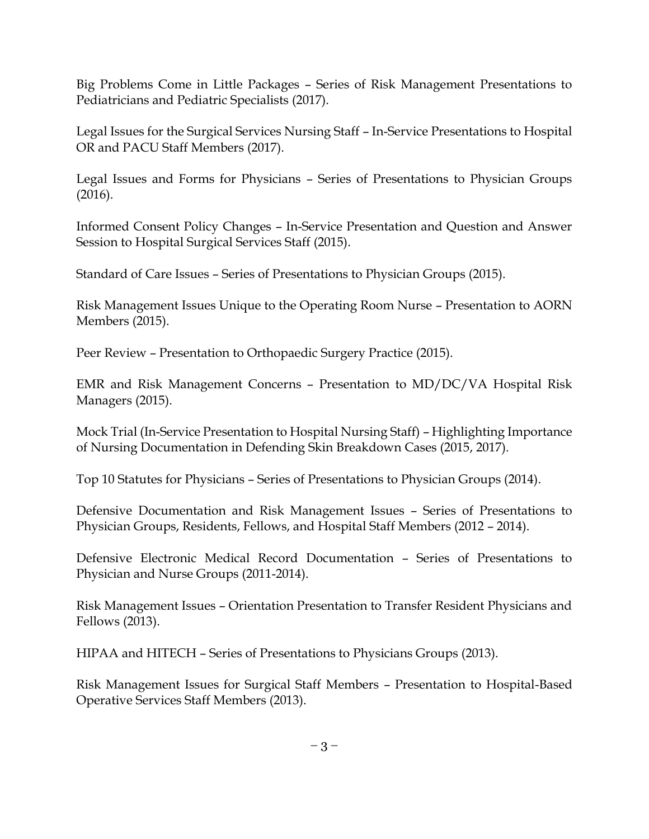Big Problems Come in Little Packages – Series of Risk Management Presentations to Pediatricians and Pediatric Specialists (2017).

Legal Issues for the Surgical Services Nursing Staff – In-Service Presentations to Hospital OR and PACU Staff Members (2017).

Legal Issues and Forms for Physicians – Series of Presentations to Physician Groups (2016).

Informed Consent Policy Changes – In-Service Presentation and Question and Answer Session to Hospital Surgical Services Staff (2015).

Standard of Care Issues – Series of Presentations to Physician Groups (2015).

Risk Management Issues Unique to the Operating Room Nurse – Presentation to AORN Members (2015).

Peer Review – Presentation to Orthopaedic Surgery Practice (2015).

EMR and Risk Management Concerns – Presentation to MD/DC/VA Hospital Risk Managers (2015).

Mock Trial (In-Service Presentation to Hospital Nursing Staff) – Highlighting Importance of Nursing Documentation in Defending Skin Breakdown Cases (2015, 2017).

Top 10 Statutes for Physicians – Series of Presentations to Physician Groups (2014).

Defensive Documentation and Risk Management Issues – Series of Presentations to Physician Groups, Residents, Fellows, and Hospital Staff Members (2012 – 2014).

Defensive Electronic Medical Record Documentation – Series of Presentations to Physician and Nurse Groups (2011-2014).

Risk Management Issues – Orientation Presentation to Transfer Resident Physicians and Fellows (2013).

HIPAA and HITECH – Series of Presentations to Physicians Groups (2013).

Risk Management Issues for Surgical Staff Members – Presentation to Hospital-Based Operative Services Staff Members (2013).